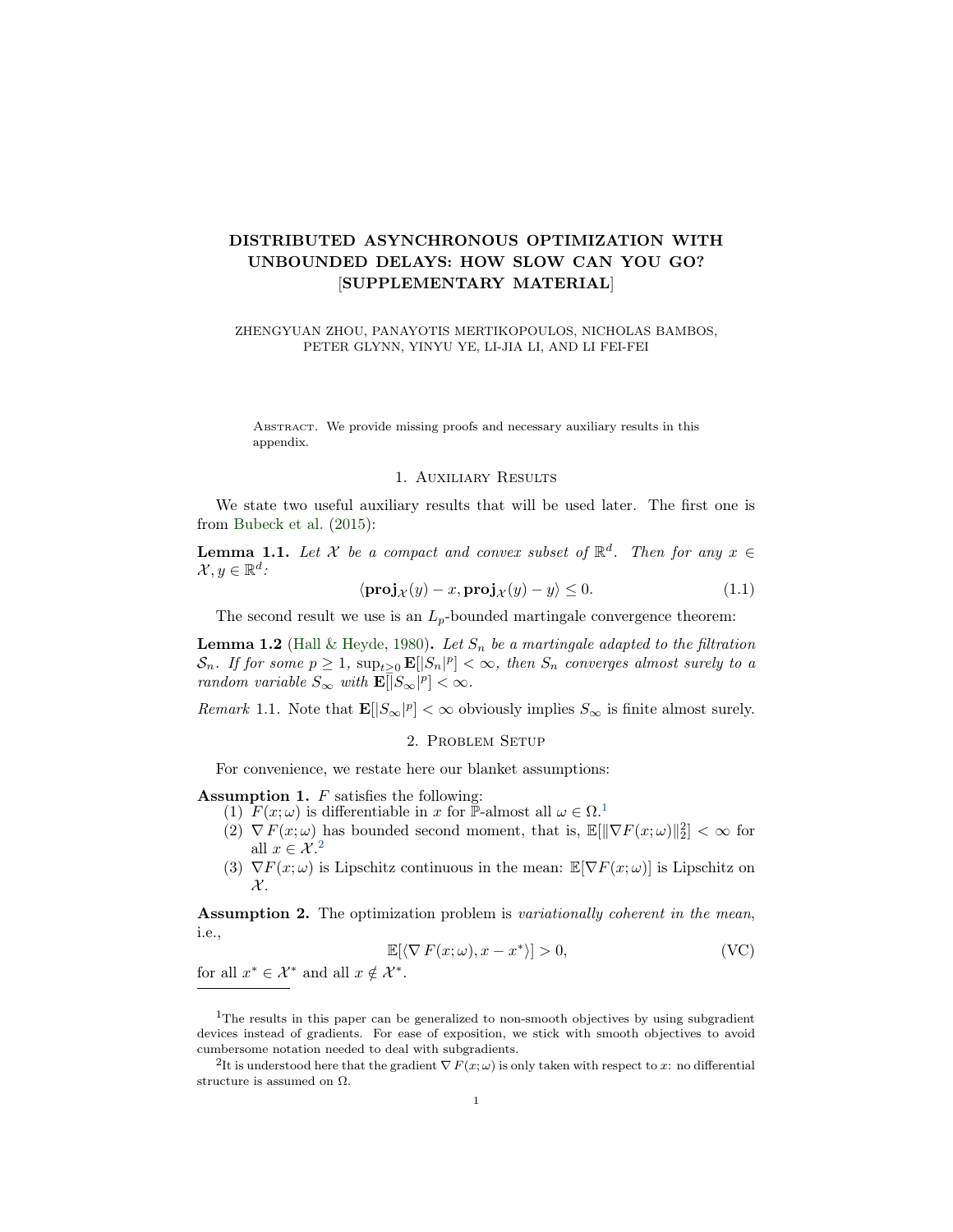# DISTRIBUTED ASYNCHRONOUS OPTIMIZATION WITH UNBOUNDED DELAYS: HOW SLOW CAN YOU GO? [SUPPLEMENTARY MATERIAL]

ZHENGYUAN ZHOU, PANAYOTIS MERTIKOPOULOS, NICHOLAS BAMBOS, PETER GLYNN, YINYU YE, LI-JIA LI, AND LI FEI-FEI

ABSTRACT. We provide missing proofs and necessary auxiliary results in this appendix.

### 1. Auxiliary Results

We state two useful auxiliary results that will be used later. The first one is from [Bubeck et al.](#page-13-0) [\(2015\)](#page-13-0):

<span id="page-0-2"></span>**Lemma 1.1.** Let X be a compact and convex subset of  $\mathbb{R}^d$ . Then for any  $x \in$  $\mathcal{X}, y \in \mathbb{R}^d$ :

$$
\langle \mathbf{proj}_{\mathcal{X}}(y) - x, \mathbf{proj}_{\mathcal{X}}(y) - y \rangle \le 0. \tag{1.1}
$$

The second result we use is an  $L_p$ -bounded martingale convergence theorem:

<span id="page-0-6"></span>**Lemma 1.2** [\(Hall & Heyde,](#page-13-1) [1980\)](#page-13-1). Let  $S_n$  be a martingale adapted to the filtration  $\mathcal{S}_n$ . If for some  $p \geq 1$ ,  $\sup_{t \geq 0} \mathbf{E}[|S_n|^p] < \infty$ , then  $S_n$  converges almost surely to a random variable  $S_{\infty}$  with  $\mathbf{E}[\overline{S}_{\infty}|^p]<\infty$ .

Remark 1.1. Note that  $\mathbf{E}[|S_{\infty}|^p] < \infty$  obviously implies  $S_{\infty}$  is finite almost surely.

### 2. Problem Setup

For convenience, we restate here our blanket assumptions:

<span id="page-0-3"></span>Assumption 1. F satisfies the following:

- <span id="page-0-5"></span>([1](#page-0-0))  $F(x; \omega)$  is differentiable in x for P-almost all  $\omega \in \Omega$ .
	- $(2) \nabla F(x; \omega)$  has bounded second moment, that is,  $\mathbb{E}[\|\nabla F(x; \omega)\|_2^2] < \infty$  for all  $x \in \mathcal{X}^2$  $x \in \mathcal{X}^2$
	- (3)  $\nabla F(x; \omega)$  is Lipschitz continuous in the mean:  $\mathbb{E}[\nabla F(x; \omega)]$  is Lipschitz on  $\mathcal{X}.$

Assumption 2. The optimization problem is variationally coherent in the mean, i.e.,

$$
\mathbb{E}[\langle \nabla F(x;\omega), x - x^* \rangle] > 0,
$$
 (VC)

<span id="page-0-4"></span>for all  $x^* \in \mathcal{X}^*$  and all  $x \notin \mathcal{X}^*$ .

<span id="page-0-0"></span><sup>&</sup>lt;sup>1</sup>The results in this paper can be generalized to non-smooth objectives by using subgradient devices instead of gradients. For ease of exposition, we stick with smooth objectives to avoid cumbersome notation needed to deal with subgradients.

<span id="page-0-1"></span><sup>&</sup>lt;sup>2</sup>It is understood here that the gradient  $\nabla F(x;\omega)$  is only taken with respect to x: no differential structure is assumed on  $\Omega$ .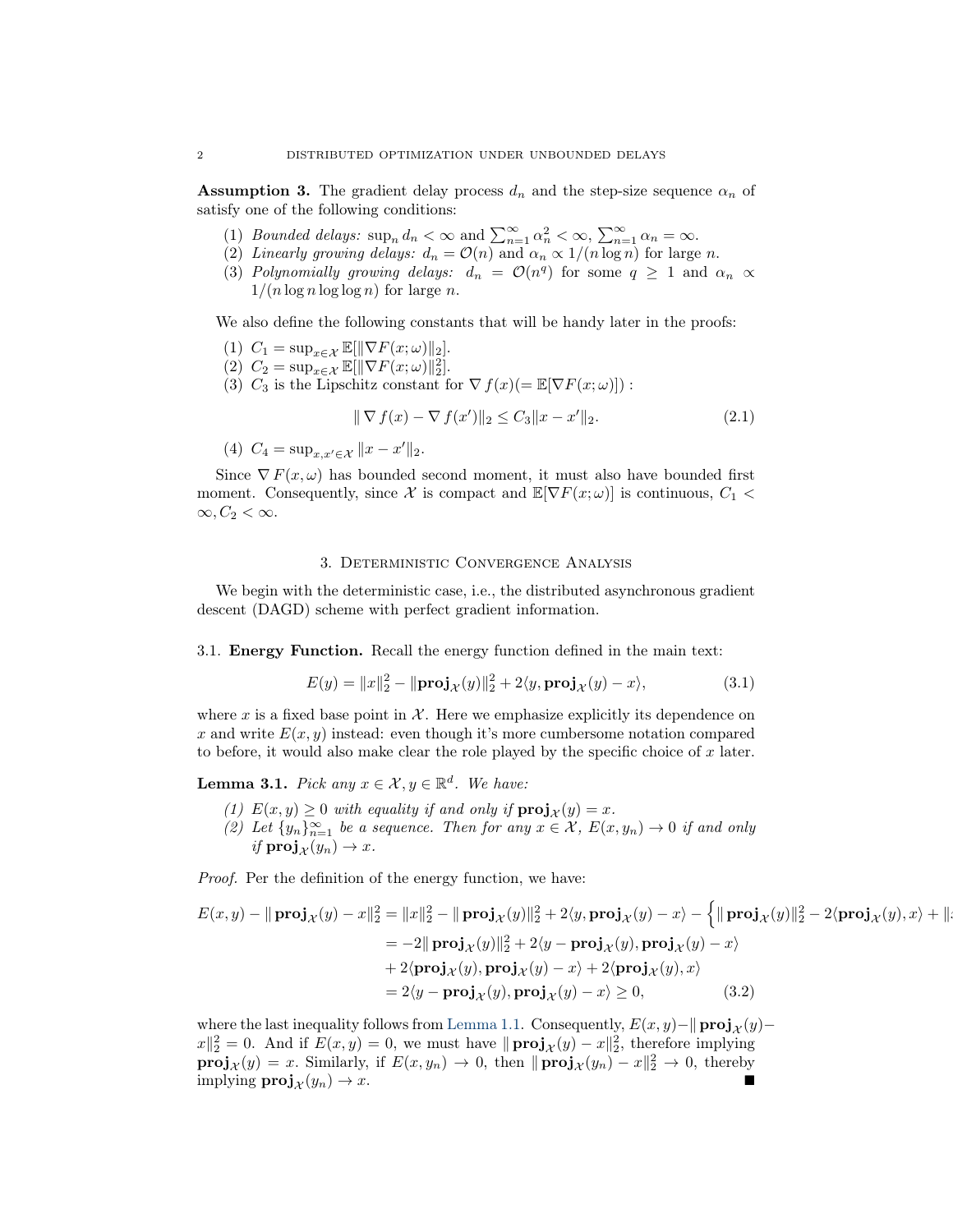**Assumption 3.** The gradient delay process  $d_n$  and the step-size sequence  $\alpha_n$  of satisfy one of the following conditions:

- (1) Bounded delays:  $\sup_n d_n < \infty$  and  $\sum_{n=1}^{\infty} \alpha_n^2 < \infty$ ,  $\sum_{n=1}^{\infty} \alpha_n = \infty$ .
- (2) Linearly growing delays:  $d_n = \mathcal{O}(n)$  and  $\alpha_n \propto 1/(n \log n)$  for large n.
- (3) Polynomially growing delays:  $d_n = \mathcal{O}(n^q)$  for some  $q \geq 1$  and  $\alpha_n \propto$  $1/(n \log n \log \log n)$  for large n.

We also define the following constants that will be handy later in the proofs:

- (1)  $C_1 = \sup_{x \in \mathcal{X}} \mathbb{E}[\|\nabla F(x; \omega)\|_2].$
- (2)  $C_2 = \sup_{x \in \mathcal{X}} \mathbb{E}[\|\nabla F(x; \omega)\|_2^2].$
- (3)  $C_3$  is the Lipschitz constant for  $\nabla f(x) (= \mathbb{E}[\nabla F(x; \omega)])$ :

$$
\|\nabla f(x) - \nabla f(x')\|_2 \le C_3 \|x - x'\|_2.
$$
\n(2.1)

(4)  $C_4 = \sup_{x,x' \in \mathcal{X}} ||x - x'||_2.$ 

Since  $\nabla F(x,\omega)$  has bounded second moment, it must also have bounded first moment. Consequently, since X is compact and  $\mathbb{E}[\nabla F(x;\omega)]$  is continuous,  $C_1$  <  $\infty, C_2 < \infty.$ 

### 3. Deterministic Convergence Analysis

We begin with the deterministic case, i.e., the distributed asynchronous gradient descent (DAGD) scheme with perfect gradient information.

3.1. Energy Function. Recall the energy function defined in the main text:

$$
E(y) = ||x||_2^2 - ||\mathbf{proj}_{\mathcal{X}}(y)||_2^2 + 2\langle y, \mathbf{proj}_{\mathcal{X}}(y) - x \rangle,
$$
\n(3.1)

where x is a fixed base point in  $\mathcal X$ . Here we emphasize explicitly its dependence on x and write  $E(x, y)$  instead: even though it's more cumbersome notation compared to before, it would also make clear the role played by the specific choice of  $x$  later.

<span id="page-1-0"></span>**Lemma 3.1.** Pick any  $x \in \mathcal{X}, y \in \mathbb{R}^d$ . We have:

- (1)  $E(x, y) \ge 0$  with equality if and only if  $proj_{\mathcal{X}}(y) = x$ .
- (2) Let  $\{y_n\}_{n=1}^{\infty}$  be a sequence. Then for any  $x \in \mathcal{X}$ ,  $E(x, y_n) \to 0$  if and only if  $\operatorname{proj}_{\mathcal{X}}(y_n) \to x$ .

Proof. Per the definition of the energy function, we have:

$$
E(x,y) - ||\operatorname{proj}_{\mathcal{X}}(y) - x||_2^2 = ||x||_2^2 - ||\operatorname{proj}_{\mathcal{X}}(y)||_2^2 + 2\langle y, \operatorname{proj}_{\mathcal{X}}(y) - x\rangle - \left\{ ||\operatorname{proj}_{\mathcal{X}}(y)||_2^2 - 2\langle \operatorname{proj}_{\mathcal{X}}(y), x\rangle + ||x||_2^2 - 2\langle \operatorname{proj}_{\mathcal{X}}(y), x\rangle\right\}
$$
  
\n
$$
= -2||\operatorname{proj}_{\mathcal{X}}(y)||_2^2 + 2\langle y - \operatorname{proj}_{\mathcal{X}}(y), \operatorname{proj}_{\mathcal{X}}(y) - x\rangle
$$
  
\n
$$
+ 2\langle \operatorname{proj}_{\mathcal{X}}(y), \operatorname{proj}_{\mathcal{X}}(y) - x\rangle + 2\langle \operatorname{proj}_{\mathcal{X}}(y), x\rangle
$$
  
\n
$$
= 2\langle y - \operatorname{proj}_{\mathcal{X}}(y), \operatorname{proj}_{\mathcal{X}}(y) - x\rangle \ge 0, \qquad (3.2)
$$

where the last inequality follows from [Lemma 1.1.](#page-0-2) Consequently,  $E(x, y)$ − $\parallel$ **proj**<sub> $\chi$ </sub>(y)−  $||x||_2^2 = 0$ . And if  $E(x, y) = 0$ , we must have  $|| \operatorname{proj}_{\mathcal{X}}(y) - x||_2^2$ , therefore implying  $\text{proj}_{\mathcal{X}}(y) = x$ . Similarly, if  $E(x, y_n) \to 0$ , then  $\|\text{proj}_{\mathcal{X}}(y_n) - x\|_2^2 \to 0$ , thereby implying  $\mathbf{proj}_{\mathcal{X}}(y_n) \to x$ .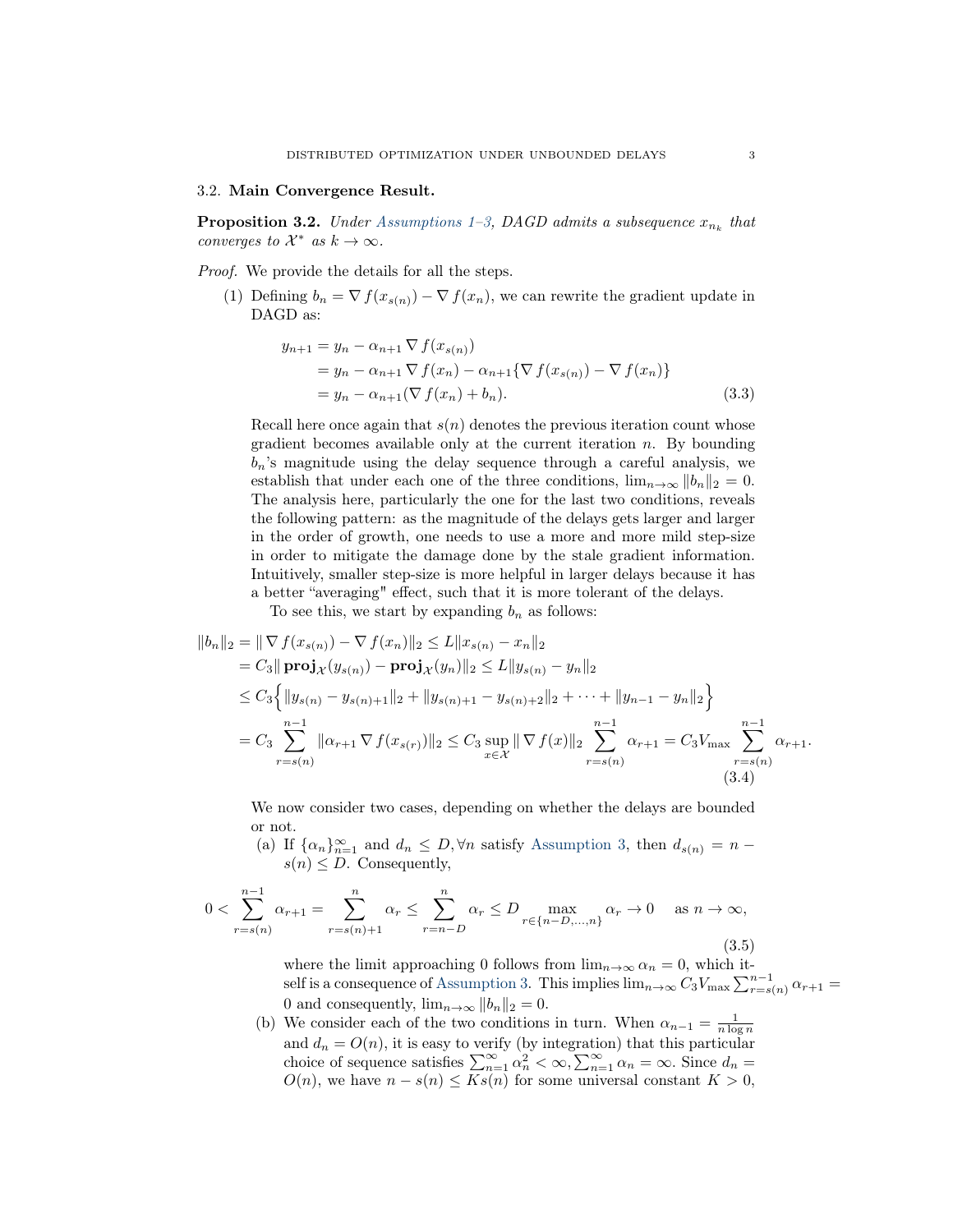#### <span id="page-2-0"></span>3.2. Main Convergence Result.

**Proposition 3.2.** Under [Assumptions 1](#page-0-3)[–3,](#page-0-4) DAGD admits a subsequence  $x_{n_k}$  that converges to  $\mathcal{X}^*$  as  $k \to \infty$ .

# Proof. We provide the details for all the steps.

(1) Defining  $b_n = \nabla f(x_{s(n)}) - \nabla f(x_n)$ , we can rewrite the gradient update in DAGD as:

$$
y_{n+1} = y_n - \alpha_{n+1} \nabla f(x_{s(n)})
$$
  
=  $y_n - \alpha_{n+1} \nabla f(x_n) - \alpha_{n+1} {\nabla f(x_{s(n)}) - \nabla f(x_n)}$   
=  $y_n - \alpha_{n+1} (\nabla f(x_n) + b_n).$  (3.3)

Recall here once again that  $s(n)$  denotes the previous iteration count whose gradient becomes available only at the current iteration  $n$ . By bounding  $b_n$ 's magnitude using the delay sequence through a careful analysis, we establish that under each one of the three conditions,  $\lim_{n\to\infty} ||b_n||_2 = 0$ . The analysis here, particularly the one for the last two conditions, reveals the following pattern: as the magnitude of the delays gets larger and larger in the order of growth, one needs to use a more and more mild step-size in order to mitigate the damage done by the stale gradient information. Intuitively, smaller step-size is more helpful in larger delays because it has a better "averaging" effect, such that it is more tolerant of the delays.

To see this, we start by expanding  $b_n$  as follows:

$$
||b_n||_2 = || \nabla f(x_{s(n)}) - \nabla f(x_n)||_2 \le L ||x_{s(n)} - x_n||_2
$$
  
\n
$$
= C_3 || \mathbf{proj}_{\mathcal{X}}(y_{s(n)}) - \mathbf{proj}_{\mathcal{X}}(y_n) ||_2 \le L ||y_{s(n)} - y_n||_2
$$
  
\n
$$
\le C_3 \{ ||y_{s(n)} - y_{s(n)+1}||_2 + ||y_{s(n)+1} - y_{s(n)+2}||_2 + \cdots + ||y_{n-1} - y_n||_2 \}
$$
  
\n
$$
= C_3 \sum_{r=s(n)}^{n-1} ||\alpha_{r+1} \nabla f(x_{s(r)})||_2 \le C_3 \sup_{x \in \mathcal{X}} || \nabla f(x)||_2 \sum_{r=s(n)}^{n-1} \alpha_{r+1} = C_3 V_{\max} \sum_{r=s(n)}^{n-1} \alpha_{r+1}.
$$
  
\n(3.4)

We now consider two cases, depending on whether the delays are bounded or not.

(a) If  $\{\alpha_n\}_{n=1}^{\infty}$  and  $d_n \leq D, \forall n$  satisfy [Assumption 3,](#page-0-4) then  $d_{s(n)} = n$  $s(n) \leq D$ . Consequently,

$$
0 < \sum_{r=s(n)}^{n-1} \alpha_{r+1} = \sum_{r=s(n)+1}^{n} \alpha_r \le \sum_{r=n-D}^{n} \alpha_r \le D \max_{r \in \{n-D, \dots, n\}} \alpha_r \to 0 \quad \text{as } n \to \infty,
$$
\n(3.5)

where the limit approaching 0 follows from  $\lim_{n\to\infty} \alpha_n = 0$ , which it-self is a consequence of [Assumption 3.](#page-0-4) This implies  $\lim_{n\to\infty} C_3 V_{\max} \sum_{r=s(n)}^{n-1} \alpha_{r+1} =$ 0 and consequently,  $\lim_{n\to\infty} ||b_n||_2 = 0.$ 

(b) We consider each of the two conditions in turn. When  $\alpha_{n-1} = \frac{1}{n \log n}$ and  $d_n = O(n)$ , it is easy to verify (by integration) that this particular choice of sequence satisfies  $\sum_{n=1}^{\infty} \alpha_n^2 < \infty$ ,  $\sum_{n=1}^{\infty} \alpha_n = \infty$ . Since  $d_n =$  $O(n)$ , we have  $n - s(n) \leq Ks(n)$  for some universal constant  $K > 0$ ,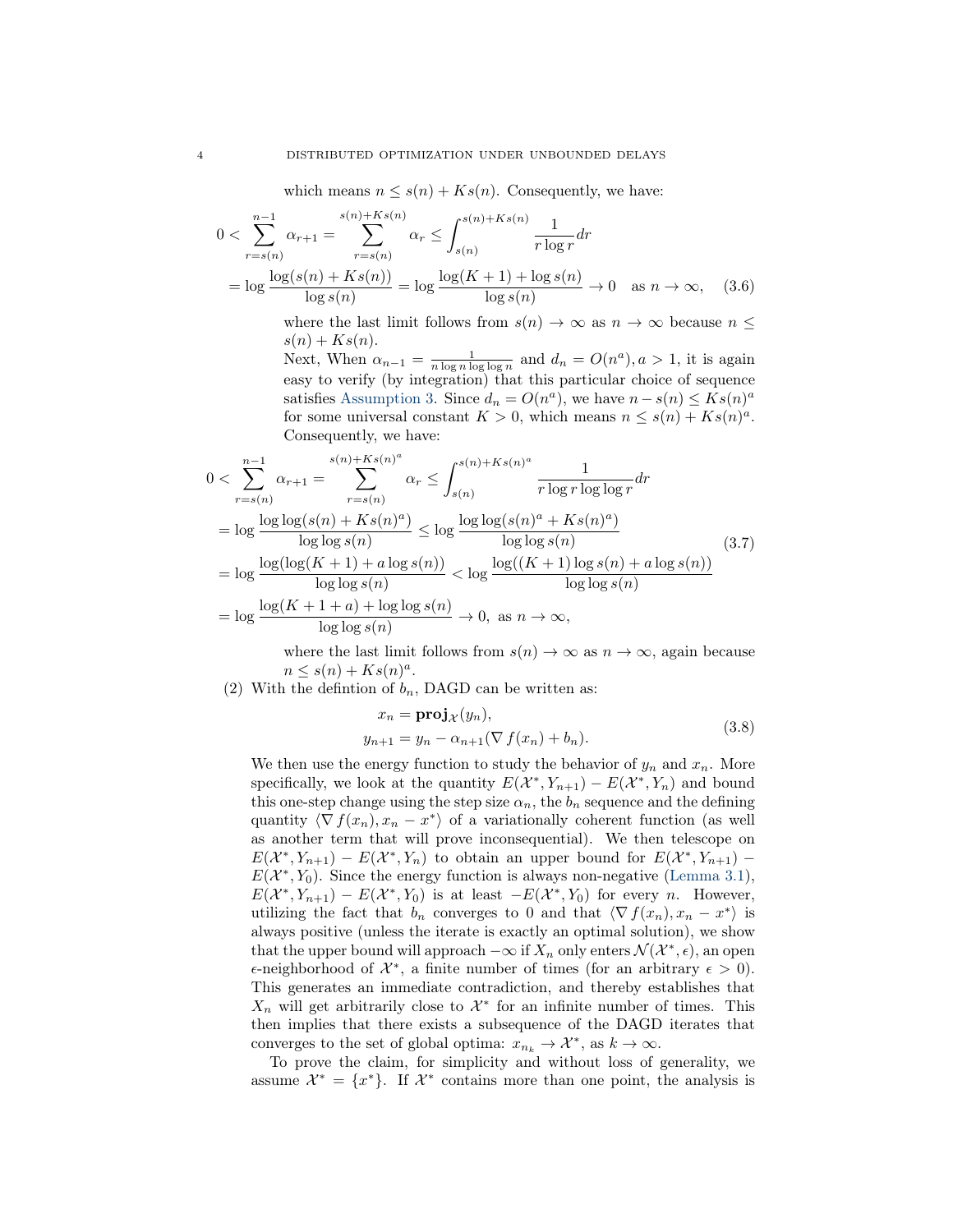which means  $n \leq s(n) + Ks(n)$ . Consequently, we have:

$$
0 < \sum_{r=s(n)}^{n-1} \alpha_{r+1} = \sum_{r=s(n)}^{s(n)+Ks(n)} \alpha_r \le \int_{s(n)}^{s(n)+Ks(n)} \frac{1}{r \log r} dr
$$
\n
$$
= \log \frac{\log(s(n) + Ks(n))}{\log s(n)} = \log \frac{\log(K+1) + \log s(n)}{\log s(n)} \to 0 \quad \text{as } n \to \infty, \quad (3.6)
$$

where the last limit follows from  $s(n) \to \infty$  as  $n \to \infty$  because  $n \leq$  $s(n) + Ks(n).$ 

Next, When  $\alpha_{n-1} = \frac{1}{n \log n \log \log n}$  and  $d_n = O(n^a), a > 1$ , it is again easy to verify (by integration) that this particular choice of sequence satisfies [Assumption 3.](#page-0-4) Since  $d_n = O(n^a)$ , we have  $n - s(n) \le K s(n)^a$ for some universal constant  $K > 0$ , which means  $n \leq s(n) + Ks(n)^a$ . Consequently, we have:

$$
0 < \sum_{r=s(n)}^{n-1} \alpha_{r+1} = \sum_{r=s(n)}^{s(n)+Ks(n)^a} \alpha_r \le \int_{s(n)}^{s(n)+Ks(n)^a} \frac{1}{r \log r \log \log r} dr
$$
\n
$$
= \log \frac{\log \log(s(n) + Ks(n)^a)}{\log \log s(n)} \le \log \frac{\log \log(s(n)^a + Ks(n)^a)}{\log \log s(n)}
$$
\n
$$
= \log \frac{\log(\log(K+1) + a \log s(n))}{\log \log s(n)} < \log \frac{\log((K+1)\log s(n) + a \log s(n))}{\log \log s(n)}
$$
\n
$$
= \log \frac{\log(K+1+a) + \log \log s(n)}{\log \log s(n)} \to 0, \text{ as } n \to \infty,
$$
\n(10)

 $\cdot$  /  $\cdot$ 

where the last limit follows from  $s(n) \to \infty$  as  $n \to \infty$ , again because  $n \leq s(n) + Ks(n)^a$ .

(2) With the defintion of  $b_n$ , DAGD can be written as:

$$
x_n = \mathbf{proj}_{\mathcal{X}}(y_n),
$$
  
\n
$$
y_{n+1} = y_n - \alpha_{n+1}(\nabla f(x_n) + b_n).
$$
\n(3.8)

We then use the energy function to study the behavior of  $y_n$  and  $x_n$ . More specifically, we look at the quantity  $E(\mathcal{X}^*, Y_{n+1}) - E(\mathcal{X}^*, Y_n)$  and bound this one-step change using the step size  $\alpha_n$ , the  $b_n$  sequence and the defining quantity  $\langle \nabla f(x_n), x_n - x^* \rangle$  of a variationally coherent function (as well as another term that will prove inconsequential). We then telescope on  $E(X^*, Y_{n+1}) - E(X^*, Y_n)$  to obtain an upper bound for  $E(X^*, Y_{n+1}) E(X^*, Y_0)$ . Since the energy function is always non-negative [\(Lemma 3.1\)](#page-1-0),  $E(X^*, Y_{n+1}) - E(X^*, Y_0)$  is at least  $-E(X^*, Y_0)$  for every *n*. However, utilizing the fact that  $b_n$  converges to 0 and that  $\langle \nabla f(x_n), x_n - x^* \rangle$  is always positive (unless the iterate is exactly an optimal solution), we show that the upper bound will approach  $-\infty$  if  $X_n$  only enters  $\mathcal{N}(\mathcal{X}^*, \epsilon)$ , an open  $\epsilon$ -neighborhood of  $\mathcal{X}^*$ , a finite number of times (for an arbitrary  $\epsilon > 0$ ). This generates an immediate contradiction, and thereby establishes that  $X_n$  will get arbitrarily close to  $\mathcal{X}^*$  for an infinite number of times. This then implies that there exists a subsequence of the DAGD iterates that converges to the set of global optima:  $x_{n_k} \to \mathcal{X}^*$ , as  $k \to \infty$ .

To prove the claim, for simplicity and without loss of generality, we assume  $\mathcal{X}^* = \{x^*\}.$  If  $\mathcal{X}^*$  contains more than one point, the analysis is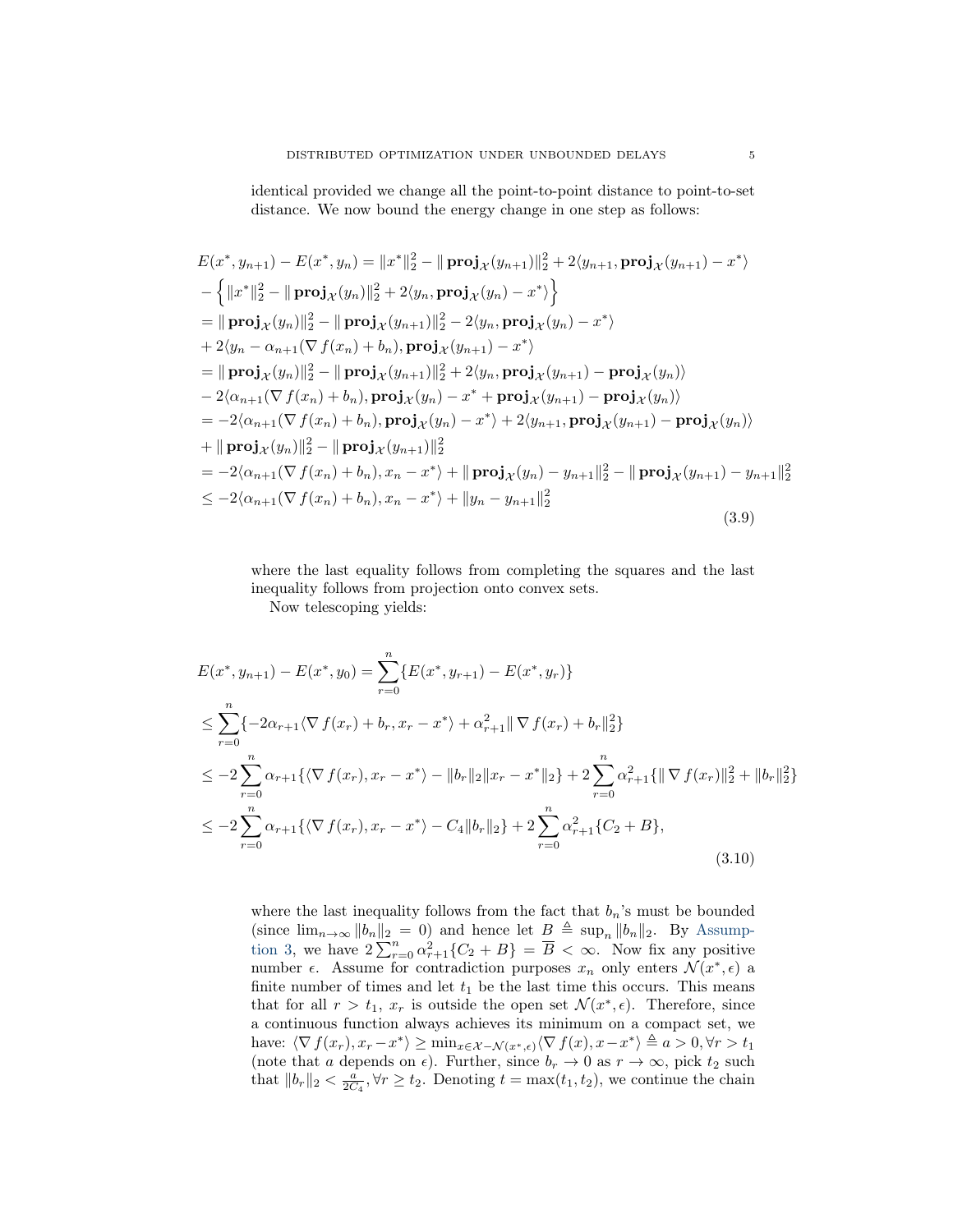identical provided we change all the point-to-point distance to point-to-set distance. We now bound the energy change in one step as follows:

<span id="page-4-1"></span>
$$
E(x^*, y_{n+1}) - E(x^*, y_n) = ||x^*||_2^2 - ||\mathbf{proj}_X(y_{n+1})||_2^2 + 2\langle y_{n+1}, \mathbf{proj}_X(y_{n+1}) - x^* \rangle
$$
  
\n
$$
- \{ ||x^*||_2^2 - ||\mathbf{proj}_X(y_n)||_2^2 + 2\langle y_n, \mathbf{proj}_X(y_n) - x^* \rangle \}
$$
  
\n
$$
= ||\mathbf{proj}_X(y_n)||_2^2 - ||\mathbf{proj}_X(y_{n+1})||_2^2 - 2\langle y_n, \mathbf{proj}_X(y_n) - x^* \rangle
$$
  
\n
$$
+ 2\langle y_n - \alpha_{n+1}(\nabla f(x_n) + b_n), \mathbf{proj}_X(y_{n+1}) - x^* \rangle
$$
  
\n
$$
= ||\mathbf{proj}_X(y_n)||_2^2 - ||\mathbf{proj}_X(y_{n+1})||_2^2 + 2\langle y_n, \mathbf{proj}_X(y_{n+1}) - \mathbf{proj}_X(y_n) \rangle
$$
  
\n
$$
- 2\langle \alpha_{n+1}(\nabla f(x_n) + b_n), \mathbf{proj}_X(y_n) - x^* + \mathbf{proj}_X(y_{n+1}) - \mathbf{proj}_X(y_n) \rangle
$$
  
\n
$$
= -2\langle \alpha_{n+1}(\nabla f(x_n) + b_n), \mathbf{proj}_X(y_n) - x^* \rangle + 2\langle y_{n+1}, \mathbf{proj}_X(y_{n+1}) - \mathbf{proj}_X(y_n) \rangle
$$
  
\n
$$
+ ||\mathbf{proj}_X(y_n)||_2^2 - ||\mathbf{proj}_X(y_{n+1})||_2^2
$$
  
\n
$$
= -2\langle \alpha_{n+1}(\nabla f(x_n) + b_n), x_n - x^* \rangle + ||\mathbf{proj}_X(y_n) - y_{n+1}||_2^2 - ||\mathbf{proj}_X(y_{n+1}) - y_{n+1}||_2^2
$$
  
\n
$$
\leq -2\langle \alpha_{n+1}(\nabla f(x_n) + b_n), x_n - x^* \rangle + ||y_n - y_{n+1}||_2^2
$$
  
\n(3.9)

where the last equality follows from completing the squares and the last inequality follows from projection onto convex sets.

Now telescoping yields:

<span id="page-4-0"></span>
$$
E(x^*, y_{n+1}) - E(x^*, y_0) = \sum_{r=0}^n \{E(x^*, y_{r+1}) - E(x^*, y_r)\}
$$
  
\n
$$
\leq \sum_{r=0}^n \{-2\alpha_{r+1}\langle \nabla f(x_r) + b_r, x_r - x^* \rangle + \alpha_{r+1}^2 || \nabla f(x_r) + b_r||_2^2\}
$$
  
\n
$$
\leq -2 \sum_{r=0}^n \alpha_{r+1}\{\langle \nabla f(x_r), x_r - x^* \rangle - ||b_r||_2 ||x_r - x^*||_2\} + 2 \sum_{r=0}^n \alpha_{r+1}^2 \{||\nabla f(x_r)||_2^2 + ||b_r||_2^2\}
$$
  
\n
$$
\leq -2 \sum_{r=0}^n \alpha_{r+1}\{\langle \nabla f(x_r), x_r - x^* \rangle - C_4 ||b_r||_2\} + 2 \sum_{r=0}^n \alpha_{r+1}^2 \{C_2 + B\},
$$
\n(3.10)

where the last inequality follows from the fact that  $b_n$ 's must be bounded (since  $\lim_{n\to\infty} ||b_n||_2 = 0$ ) and hence let  $B \triangleq \sup_n ||b_n||_2$ . By [Assump](#page-0-4)[tion 3,](#page-0-4) we have  $2\sum_{r=0}^n \alpha_{r+1}^2 \{C_2 + B\} = \overline{B} < \infty$ . Now fix any positive number  $\epsilon$ . Assume for contradiction purposes  $x_n$  only enters  $\mathcal{N}(x^*, \epsilon)$  a finite number of times and let  $t_1$  be the last time this occurs. This means that for all  $r > t_1$ ,  $x_r$  is outside the open set  $\mathcal{N}(x^*, \epsilon)$ . Therefore, since a continuous function always achieves its minimum on a compact set, we have:  $\langle \nabla f(x_r), x_r - x^* \rangle \ge \min_{x \in \mathcal{X} - \mathcal{N}(x^*, \epsilon)} \langle \nabla f(x), x - x^* \rangle \triangleq a > 0, \forall r > t_1$ (note that a depends on  $\epsilon$ ). Further, since  $b_r \to 0$  as  $r \to \infty$ , pick  $t_2$  such that  $||b_r||_2 < \frac{a}{2C_4}$ ,  $\forall r \ge t_2$ . Denoting  $t = \max(t_1, t_2)$ , we continue the chain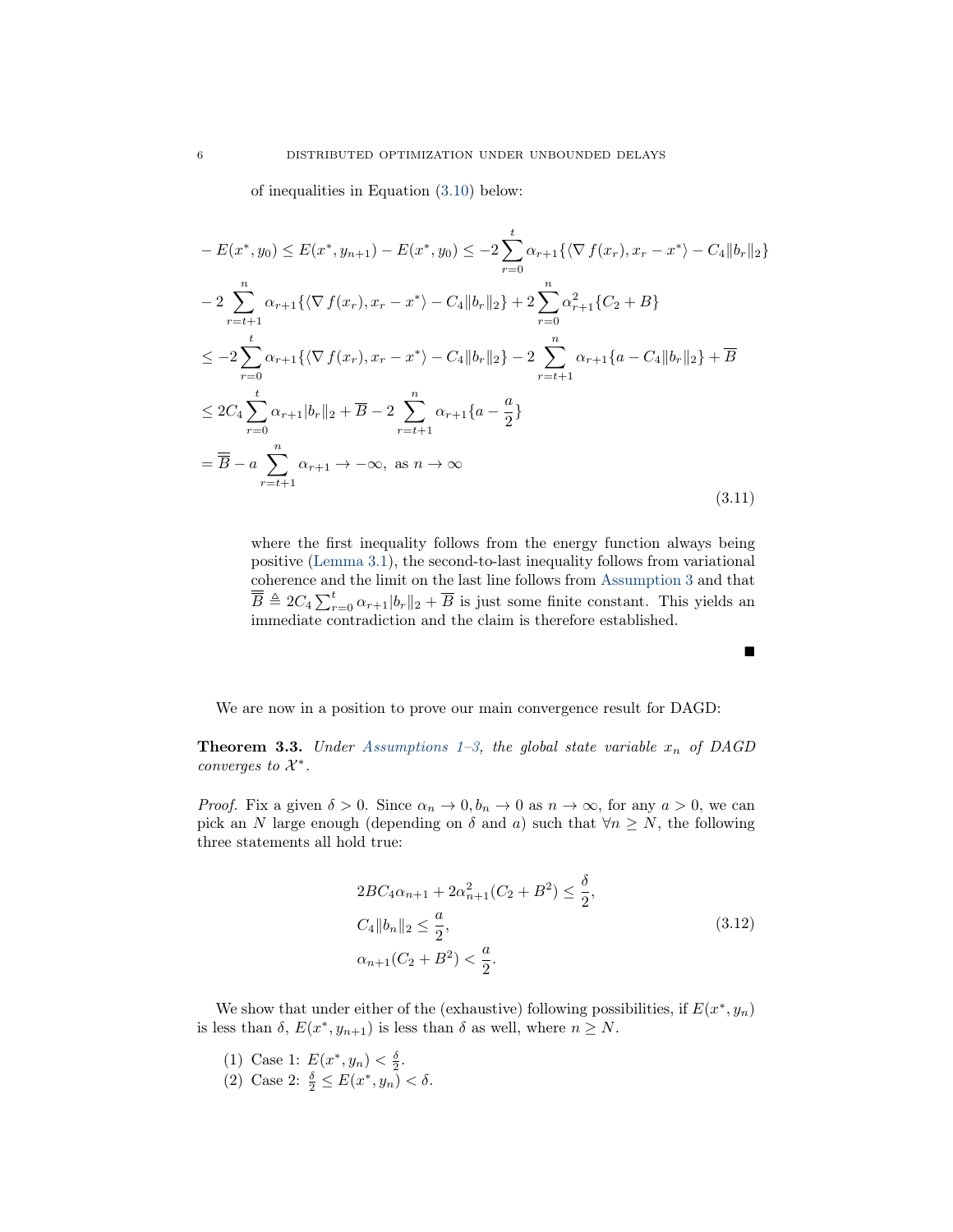of inequalities in Equation [\(3.10\)](#page-4-0) below:

$$
-E(x^*, y_0) \le E(x^*, y_{n+1}) - E(x^*, y_0) \le -2 \sum_{r=0}^t \alpha_{r+1} \{ \langle \nabla f(x_r), x_r - x^* \rangle - C_4 \|b_r\|_2 \}
$$
  
\n
$$
-2 \sum_{r=t+1}^n \alpha_{r+1} \{ \langle \nabla f(x_r), x_r - x^* \rangle - C_4 \|b_r\|_2 \} + 2 \sum_{r=0}^n \alpha_{r+1}^2 \{ C_2 + B \}
$$
  
\n
$$
\le -2 \sum_{r=0}^t \alpha_{r+1} \{ \langle \nabla f(x_r), x_r - x^* \rangle - C_4 \|b_r\|_2 \} - 2 \sum_{r=t+1}^n \alpha_{r+1} \{ a - C_4 \|b_r\|_2 \} + \overline{B}
$$
  
\n
$$
\le 2C_4 \sum_{r=0}^t \alpha_{r+1} |b_r\|_2 + \overline{B} - 2 \sum_{r=t+1}^n \alpha_{r+1} \{ a - \frac{a}{2} \}
$$
  
\n
$$
= \overline{B} - a \sum_{r=t+1}^n \alpha_{r+1} \to -\infty, \text{ as } n \to \infty
$$
  
\n(3.11)

where the first inequality follows from the energy function always being positive [\(Lemma 3.1\)](#page-1-0), the second-to-last inequality follows from variational coherence and the limit on the last line follows from [Assumption 3](#page-0-4) and that  $\overline{\overline{B}} \triangleq 2C_4 \sum_{r=0}^t \alpha_{r+1} |b_r||_2 + \overline{B}$  is just some finite constant. This yields an immediate contradiction and the claim is therefore established.

We are now in a position to prove our main convergence result for DAGD:

**Theorem 3.3.** Under [Assumptions 1–](#page-0-3)[3,](#page-0-4) the global state variable  $x_n$  of DAGD converges to  $\mathcal{X}^*$ .

*Proof.* Fix a given  $\delta > 0$ . Since  $\alpha_n \to 0$ ,  $b_n \to 0$  as  $n \to \infty$ , for any  $a > 0$ , we can pick an N large enough (depending on  $\delta$  and  $a$ ) such that  $\forall n \geq N$ , the following three statements all hold true:

$$
2BC_4\alpha_{n+1} + 2\alpha_{n+1}^2(C_2 + B^2) \le \frac{\delta}{2},
$$
  
\n
$$
C_4 \|\mathbf{b}_n\|_2 \le \frac{a}{2},
$$
  
\n
$$
\alpha_{n+1}(C_2 + B^2) < \frac{a}{2}.
$$
\n(3.12)

We show that under either of the (exhaustive) following possibilities, if  $E(x^*, y_n)$ is less than  $\delta$ ,  $E(x^*, y_{n+1})$  is less than  $\delta$  as well, where  $n \geq N$ .

- (1) Case 1:  $E(x^*, y_n) < \frac{\delta}{2}$ .
- (2) Case 2:  $\frac{\delta}{2} \leq E(x^*, y_n) < \delta$ .

$$
\blacksquare
$$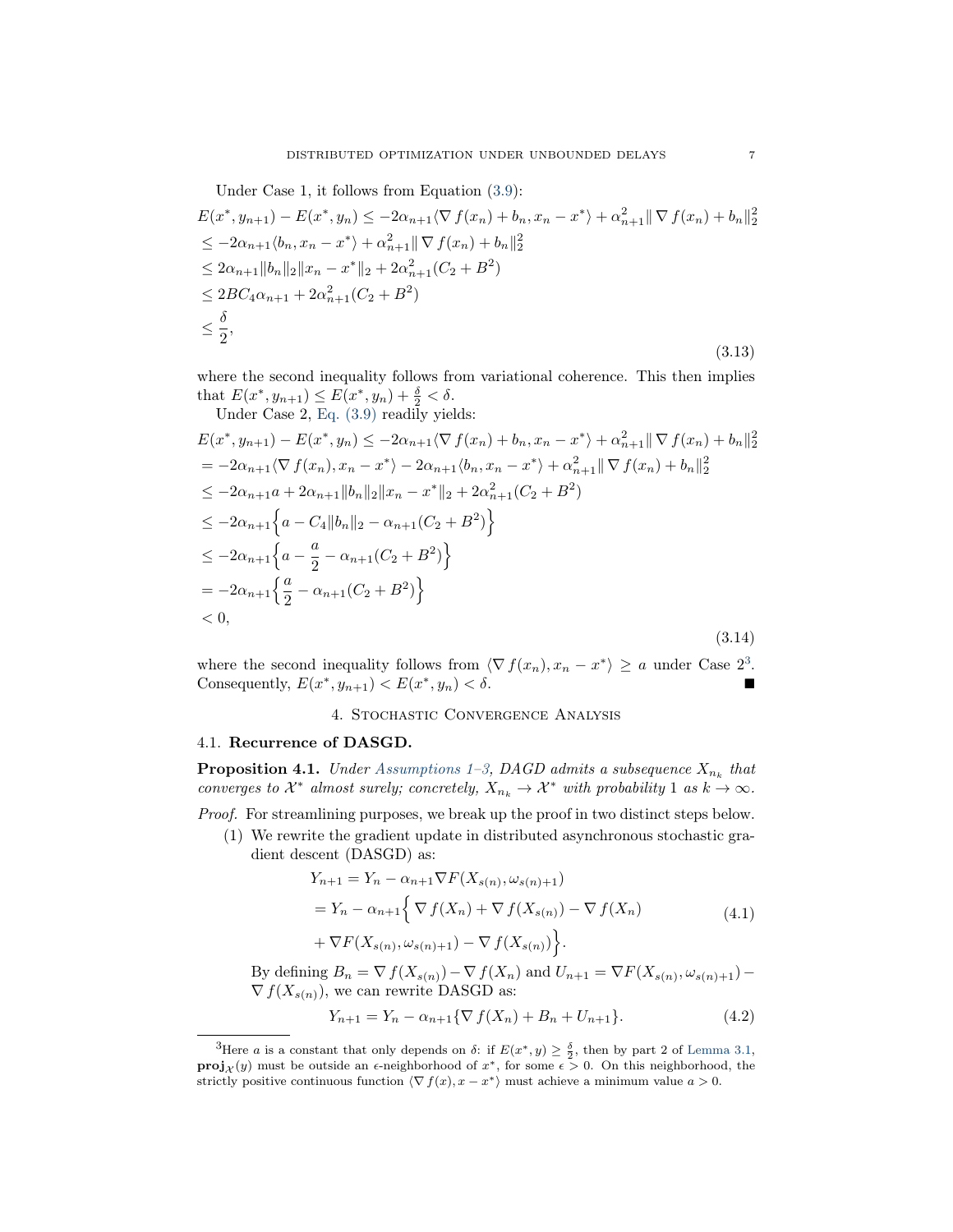Under Case 1, it follows from Equation (3.9):  
\n
$$
E(x^*, y_{n+1}) - E(x^*, y_n) \le -2\alpha_{n+1} \langle \nabla f(x_n) + b_n, x_n - x^* \rangle + \alpha_{n+1}^2 || \nabla f(x_n) + b_n||_2^2
$$
\n
$$
\le -2\alpha_{n+1} \langle b_n, x_n - x^* \rangle + \alpha_{n+1}^2 || \nabla f(x_n) + b_n||_2^2
$$
\n
$$
\le 2\alpha_{n+1} ||b_n||_2 ||x_n - x^*||_2 + 2\alpha_{n+1}^2 (C_2 + B^2)
$$
\n
$$
\le 2BC_4\alpha_{n+1} + 2\alpha_{n+1}^2 (C_2 + B^2)
$$
\n
$$
\le \frac{\delta}{2},
$$
\n(3.13)

where the second inequality follows from variational coherence. This then implies that  $E(x^*, y_{n+1}) \le E(x^*, y_n) + \frac{\delta}{2} < \delta$ .

Under Case 2, Eq.  $(3.9)$  readily yields:

$$
E(x^*, y_{n+1}) - E(x^*, y_n) \le -2\alpha_{n+1}\langle \nabla f(x_n) + b_n, x_n - x^* \rangle + \alpha_{n+1}^2 \|\nabla f(x_n) + b_n\|_2^2
$$
  
\n
$$
= -2\alpha_{n+1}\langle \nabla f(x_n), x_n - x^* \rangle - 2\alpha_{n+1}\langle b_n, x_n - x^* \rangle + \alpha_{n+1}^2 \|\nabla f(x_n) + b_n\|_2^2
$$
  
\n
$$
\le -2\alpha_{n+1}a + 2\alpha_{n+1} \|b_n\|_2 \|x_n - x^*\|_2 + 2\alpha_{n+1}^2 (C_2 + B^2)
$$
  
\n
$$
\le -2\alpha_{n+1} \Big\{ a - C_4 \|b_n\|_2 - \alpha_{n+1} (C_2 + B^2) \Big\}
$$
  
\n
$$
\le -2\alpha_{n+1} \Big\{ a - \frac{a}{2} - \alpha_{n+1} (C_2 + B^2) \Big\}
$$
  
\n
$$
= -2\alpha_{n+1} \Big\{ \frac{a}{2} - \alpha_{n+1} (C_2 + B^2) \Big\}
$$
  
\n
$$
< 0,
$$
\n(3.14)

where the second inequality follows from  $\langle \nabla f(x_n), x_n - x^* \rangle \ge a$  under Case  $2^3$  $2^3$ . Consequently,  $E(x^*, y_{n+1}) < E(x^*, y_n) < \delta$ .

# 4. Stochastic Convergence Analysis

### <span id="page-6-1"></span>4.1. Recurrence of DASGD.

**Proposition 4.1.** Under [Assumptions 1–](#page-0-3)[3,](#page-0-4) DAGD admits a subsequence  $X_{n_k}$  that converges to  $\mathcal{X}^*$  almost surely; concretely,  $X_{n_k} \to \mathcal{X}^*$  with probability 1 as  $k \to \infty$ .

Proof. For streamlining purposes, we break up the proof in two distinct steps below.

(1) We rewrite the gradient update in distributed asynchronous stochastic gradient descent (DASGD) as:

$$
Y_{n+1} = Y_n - \alpha_{n+1} \nabla F(X_{s(n)}, \omega_{s(n)+1})
$$
  
=  $Y_n - \alpha_{n+1} \left\{ \nabla f(X_n) + \nabla f(X_{s(n)}) - \nabla f(X_n) \right\}$   
+  $\nabla F(X_{s(n)}, \omega_{s(n)+1}) - \nabla f(X_{s(n)})$  }. (4.1)

By defining  $B_n = \nabla f(X_{s(n)}) - \nabla f(X_n)$  and  $U_{n+1} = \nabla F(X_{s(n)}, \omega_{s(n)+1}) \nabla f(X_{s(n)})$ , we can rewrite DASGD as:

$$
Y_{n+1} = Y_n - \alpha_{n+1} \{ \nabla f(X_n) + B_n + U_{n+1} \}.
$$
 (4.2)

<span id="page-6-0"></span><sup>&</sup>lt;sup>3</sup>Here *a* is a constant that only depends on *δ*: if  $E(x^*, y) \ge \frac{\delta}{2}$ , then by part 2 of [Lemma 3.1,](#page-1-0) **proj**<sub>X</sub> $(y)$  must be outside an  $\epsilon$ -neighborhood of  $x^*$ , for some  $\epsilon > 0$ . On this neighborhood, the strictly positive continuous function  $\langle \nabla f(x), x - x^* \rangle$  must achieve a minimum value  $a > 0$ .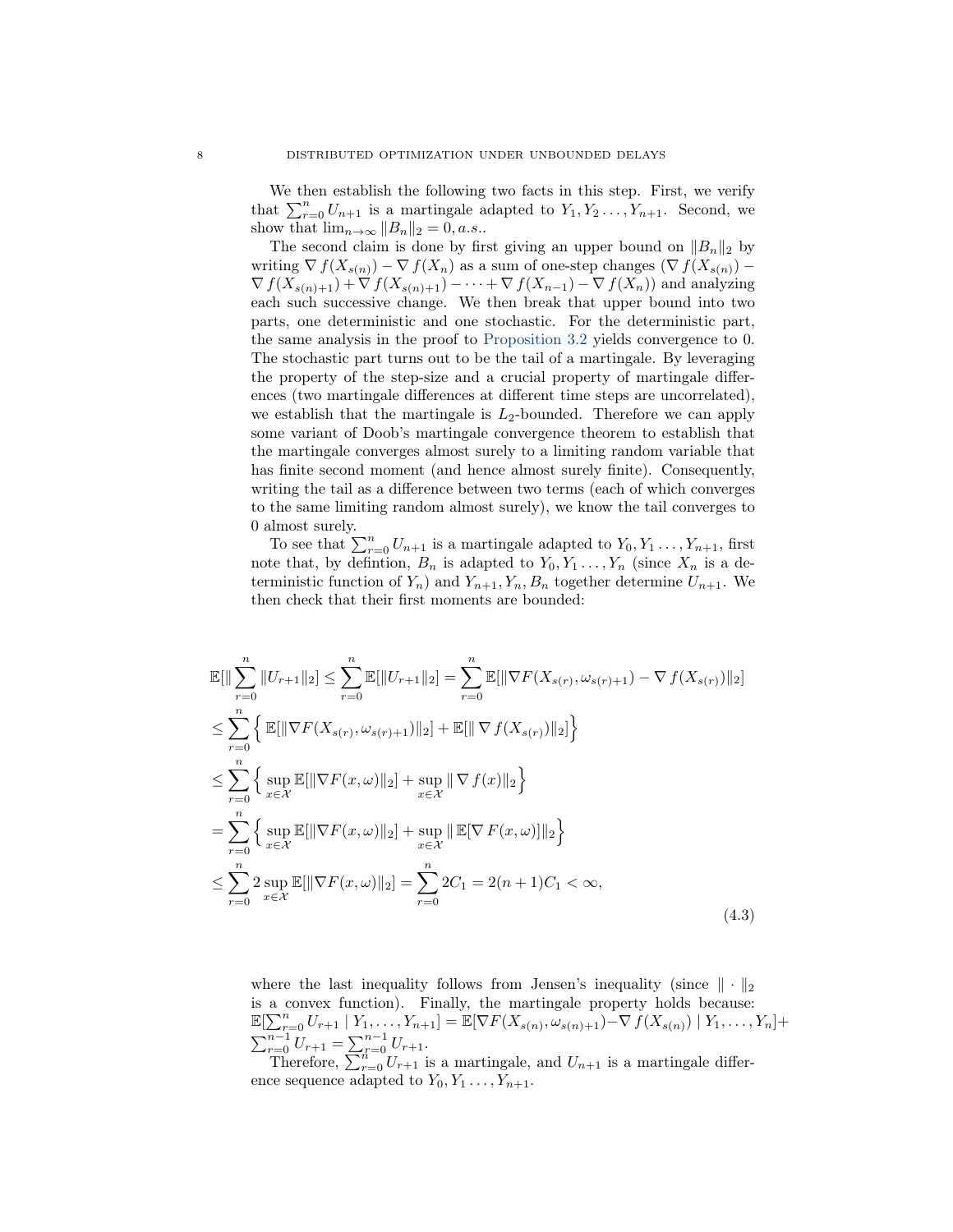We then establish the following two facts in this step. First, we verify that  $\sum_{r=0}^{n} U_{n+1}$  is a martingale adapted to  $Y_1, Y_2, \ldots, Y_{n+1}$ . Second, we show that  $\lim_{n\to\infty} ||B_n||_2 = 0, a.s..$ 

The second claim is done by first giving an upper bound on  $||B_n||_2$  by writing  $\nabla f(X_{s(n)}) - \nabla f(X_n)$  as a sum of one-step changes  $(\nabla f(X_{s(n)}) \nabla f(X_{s(n)+1}) + \nabla f(X_{s(n)+1}) - \cdots + \nabla f(X_{n-1}) - \nabla f(X_n)$  and analyzing each such successive change. We then break that upper bound into two parts, one deterministic and one stochastic. For the deterministic part, the same analysis in the proof to [Proposition 3.2](#page-2-0) yields convergence to 0. The stochastic part turns out to be the tail of a martingale. By leveraging the property of the step-size and a crucial property of martingale differences (two martingale differences at different time steps are uncorrelated), we establish that the martingale is  $L_2$ -bounded. Therefore we can apply some variant of Doob's martingale convergence theorem to establish that the martingale converges almost surely to a limiting random variable that has finite second moment (and hence almost surely finite). Consequently, writing the tail as a difference between two terms (each of which converges to the same limiting random almost surely), we know the tail converges to 0 almost surely.

To see that  $\sum_{r=0}^{n} U_{n+1}$  is a martingale adapted to  $Y_0, Y_1, \ldots, Y_{n+1}$ , first note that, by defintion,  $B_n$  is adapted to  $Y_0, Y_1, \ldots, Y_n$  (since  $X_n$  is a deterministic function of  $Y_n$ ) and  $Y_{n+1}, Y_n, B_n$  together determine  $U_{n+1}$ . We then check that their first moments are bounded:

$$
\mathbb{E}[\|\sum_{r=0}^{n} \|U_{r+1}\|_{2}] \leq \sum_{r=0}^{n} \mathbb{E}[\|U_{r+1}\|_{2}] = \sum_{r=0}^{n} \mathbb{E}[\|\nabla F(X_{s(r)}, \omega_{s(r)+1}) - \nabla f(X_{s(r)})\|_{2}] \n\leq \sum_{r=0}^{n} \left\{ \mathbb{E}[\|\nabla F(X_{s(r)}, \omega_{s(r)+1})\|_{2}] + \mathbb{E}[\|\nabla f(X_{s(r)})\|_{2}] \right\} \n\leq \sum_{r=0}^{n} \left\{ \sup_{x \in \mathcal{X}} \mathbb{E}[\|\nabla F(x, \omega)\|_{2}] + \sup_{x \in \mathcal{X}} \|\nabla f(x)\|_{2} \right\} \n= \sum_{r=0}^{n} \left\{ \sup_{x \in \mathcal{X}} \mathbb{E}[\|\nabla F(x, \omega)\|_{2}] + \sup_{x \in \mathcal{X}} \|\mathbb{E}[\nabla F(x, \omega)]\|_{2} \right\} \n\leq \sum_{r=0}^{n} 2 \sup_{x \in \mathcal{X}} \mathbb{E}[\|\nabla F(x, \omega)\|_{2}] = \sum_{r=0}^{n} 2C_{1} = 2(n+1)C_{1} < \infty,
$$
\n(4.3)

where the last inequality follows from Jensen's inequality (since  $\|\cdot\|_2$ is a convex function). Finally, the martingale property holds because:  $\mathbb{E}[\sum_{r=0}^n U_{r+1} | Y_1,\ldots,Y_{n+1}] = \mathbb{E}[\nabla F(X_{s(n)},\omega_{s(n)+1}) - \nabla f(X_{s(n)}) | Y_1,\ldots,Y_n] +$  $\sum_{r=0}^{n-1} U_{r+1} = \sum_{r=0}^{n-1} U_{r+1}.$ 

Therefore,  $\sum_{r=0}^{n} U_{r+1}$  is a martingale, and  $U_{n+1}$  is a martingale difference sequence adapted to  $Y_0, Y_1, \ldots, Y_{n+1}$ .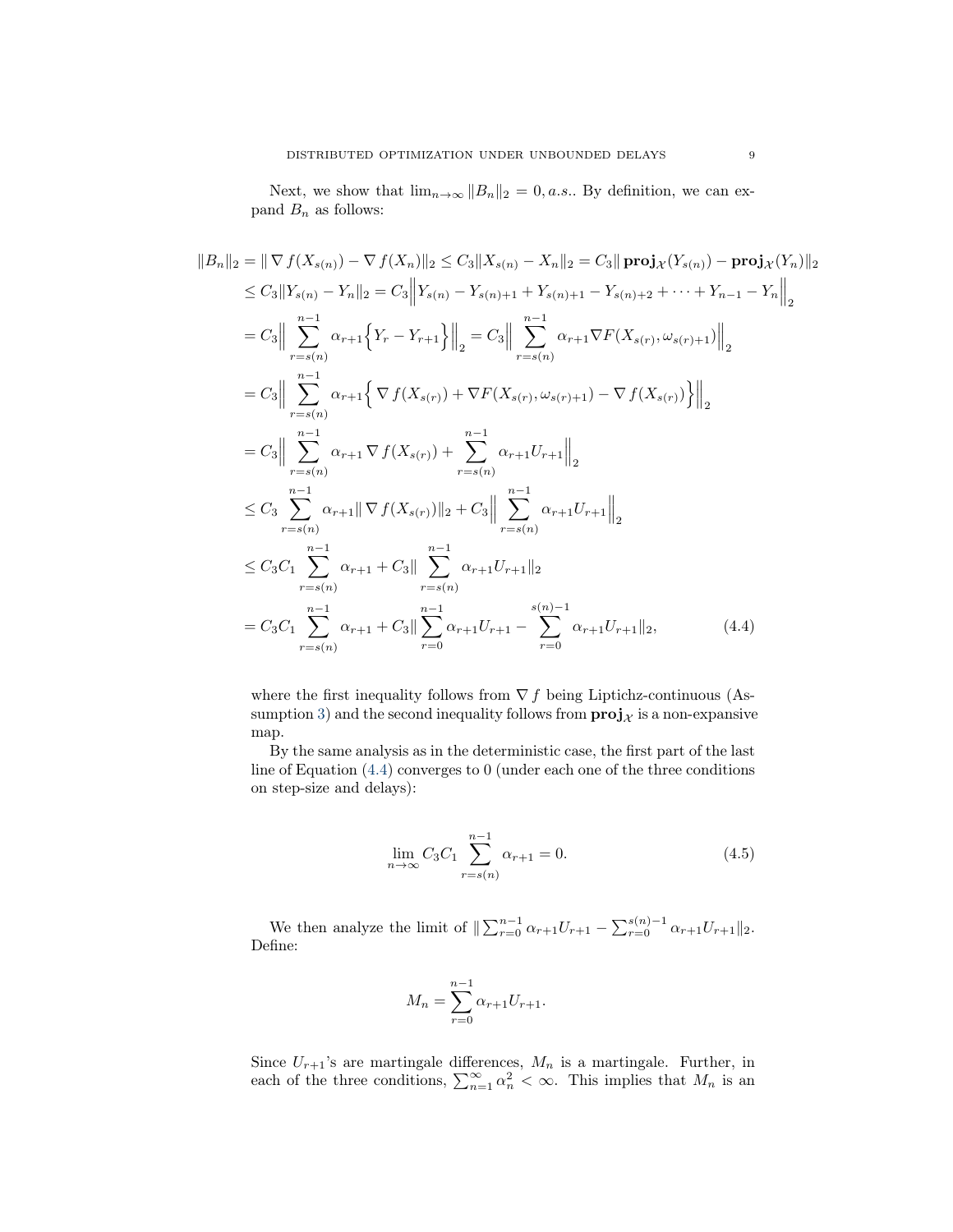Next, we show that  $\lim_{n\to\infty}||B_n||_2 = 0$ , *a.s.*. By definition, we can expand  $B_n$  as follows:

$$
||B_n||_2 = || \nabla f(X_{s(n)}) - \nabla f(X_n)||_2 \leq C_3 ||X_{s(n)} - X_n||_2 = C_3 || \mathbf{proj}_{\mathcal{X}}(Y_{s(n)}) - \mathbf{proj}_{\mathcal{X}}(Y_n)||_2
$$
  
\n
$$
\leq C_3 ||Y_{s(n)} - Y_n||_2 = C_3 ||Y_{s(n)} - Y_{s(n)+1} + Y_{s(n)+1} - Y_{s(n)+2} + \dots + Y_{n-1} - Y_n||_2
$$
  
\n
$$
= C_3 || \sum_{r=s(n)}^{n-1} \alpha_{r+1} \{ Y_r - Y_{r+1} \} ||_2 = C_3 || \sum_{r=s(n)}^{n-1} \alpha_{r+1} \nabla F(X_{s(r)}, \omega_{s(r)+1}) ||_2
$$
  
\n
$$
= C_3 || \sum_{r=s(n)}^{n-1} \alpha_{r+1} \{ \nabla f(X_{s(r)}) + \nabla F(X_{s(r)}, \omega_{s(r)+1}) - \nabla f(X_{s(r)}) \} ||_2
$$
  
\n
$$
= C_3 || \sum_{r=s(n)}^{n-1} \alpha_{r+1} \nabla f(X_{s(r)}) + \sum_{r=s(n)}^{n-1} \alpha_{r+1} U_{r+1} ||_2
$$
  
\n
$$
\leq C_3 \sum_{r=s(n)}^{n-1} \alpha_{r+1} || \nabla f(X_{s(r)}) ||_2 + C_3 || \sum_{r=s(n)}^{n-1} \alpha_{r+1} U_{r+1} ||_2
$$
  
\n
$$
\leq C_3 C_1 \sum_{r=s(n)}^{n-1} \alpha_{r+1} + C_3 || \sum_{r=s(n)}^{n-1} \alpha_{r+1} U_{r+1} ||_2
$$
  
\n
$$
= C_3 C_1 \sum_{r=s(n)}^{n-1} \alpha_{r+1} + C_3 || \sum_{r=0}^{n-1} \alpha_{r+1} U_{r+1} - \sum_{r=0}^{s(n)-1} \alpha_{r+1} U_{r+1} ||_2,
$$
 (4.4)

where the first inequality follows from  $\nabla f$  being Liptichz-continuous (As-sumption [3\)](#page-0-5) and the second inequality follows from  $\text{proj}_{\mathcal{X}}$  is a non-expansive map.

By the same analysis as in the deterministic case, the first part of the last line of Equation [\(4.4\)](#page-8-0) converges to 0 (under each one of the three conditions on step-size and delays):

<span id="page-8-1"></span><span id="page-8-0"></span>
$$
\lim_{n \to \infty} C_3 C_1 \sum_{r=s(n)}^{n-1} \alpha_{r+1} = 0.
$$
\n(4.5)

We then analyze the limit of  $\|\sum_{r=0}^{n-1} \alpha_{r+1} U_{r+1} - \sum_{r=0}^{s(n)-1} \alpha_{r+1} U_{r+1}\|_2$ . Define:

$$
M_n = \sum_{r=0}^{n-1} \alpha_{r+1} U_{r+1}.
$$

Since  $U_{r+1}$ 's are martingale differences,  $M_n$  is a martingale. Further, in each of the three conditions,  $\sum_{n=1}^{\infty} \alpha_n^2 < \infty$ . This implies that  $M_n$  is an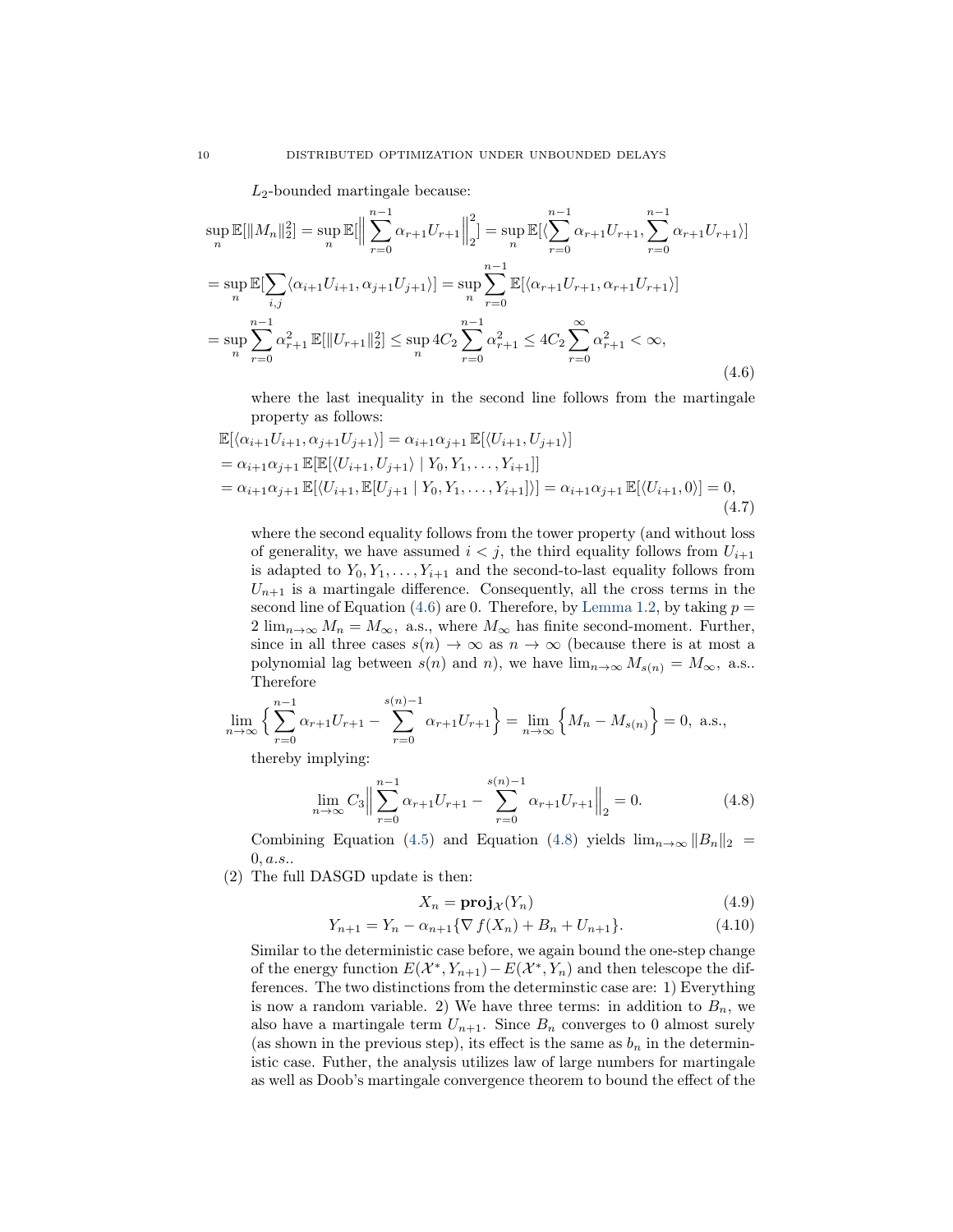$L_2$ -bounded martingale because:

<span id="page-9-0"></span>
$$
\sup_{n} \mathbb{E}[\|M_{n}\|_{2}^{2}] = \sup_{n} \mathbb{E}[\left\|\sum_{r=0}^{n-1} \alpha_{r+1} U_{r+1}\right\|_{2}^{2}] = \sup_{n} \mathbb{E}[\langle \sum_{r=0}^{n-1} \alpha_{r+1} U_{r+1}, \sum_{r=0}^{n-1} \alpha_{r+1} U_{r+1}\rangle]
$$
  
\n
$$
= \sup_{n} \mathbb{E}[\sum_{i,j} \langle \alpha_{i+1} U_{i+1}, \alpha_{j+1} U_{j+1}\rangle] = \sup_{n} \sum_{r=0}^{n-1} \mathbb{E}[\langle \alpha_{r+1} U_{r+1}, \alpha_{r+1} U_{r+1}\rangle]
$$
  
\n
$$
= \sup_{n} \sum_{r=0}^{n-1} \alpha_{r+1}^{2} \mathbb{E}[\|U_{r+1}\|_{2}^{2}] \le \sup_{n} 4C_{2} \sum_{r=0}^{n-1} \alpha_{r+1}^{2} \le 4C_{2} \sum_{r=0}^{\infty} \alpha_{r+1}^{2} < \infty,
$$
\n(4.6)

where the last inequality in the second line follows from the martingale property as follows:

$$
\mathbb{E}[\langle \alpha_{i+1} U_{i+1}, \alpha_{j+1} U_{j+1} \rangle] = \alpha_{i+1} \alpha_{j+1} \mathbb{E}[\langle U_{i+1}, U_{j+1} \rangle]
$$
  
\n
$$
= \alpha_{i+1} \alpha_{j+1} \mathbb{E}[\mathbb{E}[\langle U_{i+1}, U_{j+1} \rangle | Y_0, Y_1, \dots, Y_{i+1}]]
$$
  
\n
$$
= \alpha_{i+1} \alpha_{j+1} \mathbb{E}[\langle U_{i+1}, \mathbb{E}[U_{j+1} | Y_0, Y_1, \dots, Y_{i+1}] \rangle] = \alpha_{i+1} \alpha_{j+1} \mathbb{E}[\langle U_{i+1}, 0 \rangle] = 0,
$$
\n(4.7)

where the second equality follows from the tower property (and without loss of generality, we have assumed  $i < j$ , the third equality follows from  $U_{i+1}$ is adapted to  $Y_0, Y_1, \ldots, Y_{i+1}$  and the second-to-last equality follows from  $U_{n+1}$  is a martingale difference. Consequently, all the cross terms in the second line of Equation [\(4.6\)](#page-9-0) are 0. Therefore, by [Lemma 1.2,](#page-0-6) by taking  $p =$  $2 \lim_{n \to \infty} M_n = M_\infty$ , a.s., where  $M_\infty$  has finite second-moment. Further, since in all three cases  $s(n) \to \infty$  as  $n \to \infty$  (because there is at most a polynomial lag between  $s(n)$  and n), we have  $\lim_{n\to\infty} M_{s(n)} = M_{\infty}$ , a.s.. Therefore

$$
\lim_{n \to \infty} \left\{ \sum_{r=0}^{n-1} \alpha_{r+1} U_{r+1} - \sum_{r=0}^{s(n)-1} \alpha_{r+1} U_{r+1} \right\} = \lim_{n \to \infty} \left\{ M_n - M_{s(n)} \right\} = 0, \text{ a.s.},
$$

thereby implying:

<span id="page-9-1"></span>
$$
\lim_{n \to \infty} C_3 \left\| \sum_{r=0}^{n-1} \alpha_{r+1} U_{r+1} - \sum_{r=0}^{s(n)-1} \alpha_{r+1} U_{r+1} \right\|_2 = 0.
$$
 (4.8)

Combining Equation [\(4.5\)](#page-8-1) and Equation [\(4.8\)](#page-9-1) yields  $\lim_{n\to\infty}||B_n||_2$  =  $0, a.s..$ 

(2) The full DASGD update is then:

$$
X_n = \mathbf{proj}_{\mathcal{X}}(Y_n) \tag{4.9}
$$

$$
Y_{n+1} = Y_n - \alpha_{n+1} \{ \nabla f(X_n) + B_n + U_{n+1} \}.
$$
\n(4.10)

Similar to the deterministic case before, we again bound the one-step change of the energy function  $E(X^*, Y_{n+1}) - E(X^*, Y_n)$  and then telescope the differences. The two distinctions from the determinstic case are: 1) Everything is now a random variable. 2) We have three terms: in addition to  $B_n$ , we also have a martingale term  $U_{n+1}$ . Since  $B_n$  converges to 0 almost surely (as shown in the previous step), its effect is the same as  $b_n$  in the deterministic case. Futher, the analysis utilizes law of large numbers for martingale as well as Doob's martingale convergence theorem to bound the effect of the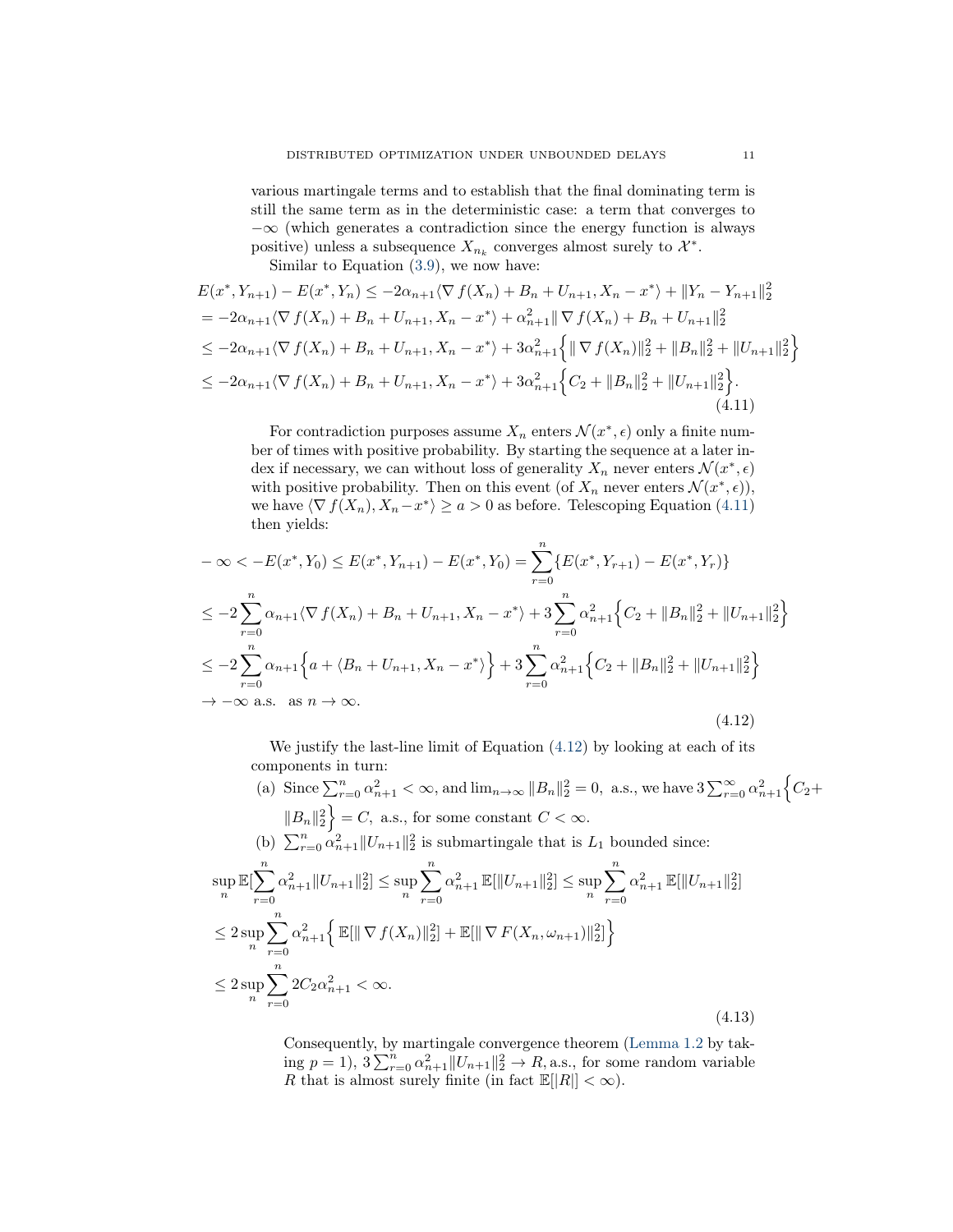various martingale terms and to establish that the final dominating term is still the same term as in the deterministic case: a term that converges to  $-\infty$  (which generates a contradiction since the energy function is always positive) unless a subsequence  $X_{n_k}$  converges almost surely to  $\mathcal{X}^*$ .

Similar to Equation [\(3.9\)](#page-4-1), we now have:

<span id="page-10-0"></span>
$$
E(x^*, Y_{n+1}) - E(x^*, Y_n) \le -2\alpha_{n+1} \langle \nabla f(X_n) + B_n + U_{n+1}, X_n - x^* \rangle + ||Y_n - Y_{n+1}||_2^2
$$
  
=  $-2\alpha_{n+1} \langle \nabla f(X_n) + B_n + U_{n+1}, X_n - x^* \rangle + \alpha_{n+1}^2 || \nabla f(X_n) + B_n + U_{n+1}||_2^2$   
 $\le -2\alpha_{n+1} \langle \nabla f(X_n) + B_n + U_{n+1}, X_n - x^* \rangle + 3\alpha_{n+1}^2 \{ || \nabla f(X_n)||_2^2 + ||B_n||_2^2 + ||U_{n+1}||_2^2 \}$   
 $\le -2\alpha_{n+1} \langle \nabla f(X_n) + B_n + U_{n+1}, X_n - x^* \rangle + 3\alpha_{n+1}^2 \{ C_2 + ||B_n||_2^2 + ||U_{n+1}||_2^2 \}.$   
(4.11)

For contradiction purposes assume  $X_n$  enters  $\mathcal{N}(x^*, \epsilon)$  only a finite number of times with positive probability. By starting the sequence at a later index if necessary, we can without loss of generality  $X_n$  never enters  $\mathcal{N}(x^*, \epsilon)$ with positive probability. Then on this event (of  $X_n$  never enters  $\mathcal{N}(x^*, \epsilon)$ ), we have  $\langle \nabla f(X_n), X_n - x^* \rangle \ge a > 0$  as before. Telescoping Equation [\(4.11\)](#page-10-0) then yields:

<span id="page-10-1"></span>
$$
-\infty < -E(x^*, Y_0) \le E(x^*, Y_{n+1}) - E(x^*, Y_0) = \sum_{r=0}^n \{E(x^*, Y_{r+1}) - E(x^*, Y_r)\}
$$
  
\n
$$
\le -2 \sum_{r=0}^n \alpha_{n+1} \langle \nabla f(X_n) + B_n + U_{n+1}, X_n - x^* \rangle + 3 \sum_{r=0}^n \alpha_{n+1}^2 \{ C_2 + ||B_n||_2^2 + ||U_{n+1}||_2^2 \}
$$
  
\n
$$
\le -2 \sum_{r=0}^n \alpha_{n+1} \{ a + \langle B_n + U_{n+1}, X_n - x^* \rangle \} + 3 \sum_{r=0}^n \alpha_{n+1}^2 \{ C_2 + ||B_n||_2^2 + ||U_{n+1}||_2^2 \}
$$
  
\n
$$
\to -\infty \text{ a.s. as } n \to \infty.
$$
\n(4.12)

We justify the last-line limit of Equation [\(4.12\)](#page-10-1) by looking at each of its components in turn:

(a) Since 
$$
\sum_{r=0}^{n} \alpha_{n+1}^2 < \infty
$$
, and  $\lim_{n \to \infty} ||B_n||_2^2 = 0$ , a.s., we have  $3 \sum_{r=0}^{\infty} \alpha_{n+1}^2 \left\{ C_2 + ||B_n||_2^2 \right\} = C$ , a.s., for some constant  $C < \infty$ .  
\n(b)  $\sum_{r=0}^{n} \alpha_{n+1}^2 ||U_{n+1}||_2^2$  is submartingale that is  $L_1$  bounded since:  
\n $\sup_n \mathbb{E}[\sum_{r=0}^{n} \alpha_{n+1}^2 ||U_{n+1}||_2^2] \le \sup_n \sum_{r=0}^{n} \alpha_{n+1}^2 \mathbb{E}[\|U_{n+1}\|_2^2] \le \sup_n \sum_{r=0}^{n} \alpha_{n+1}^2 \mathbb{E}[\|U_{n+1}\|_2^2]$   
\n $\le 2 \sup_n \sum_{r=0}^{n} \alpha_{n+1}^2 \left\{ \mathbb{E}[\|\nabla f(X_n)\|_2^2] + \mathbb{E}[\|\nabla F(X_n, \omega_{n+1})\|_2^2] \right\}$   
\n $\le 2 \sup_n \sum_{r=0}^{n} 2C_2 \alpha_{n+1}^2 < \infty$ .  
\n(4.13)

Consequently, by martingale convergence theorem [\(Lemma 1.2](#page-0-6) by taking  $p = 1$ ,  $3 \sum_{r=0}^{n} \alpha_{n+1}^2 ||U_{n+1}||_2^2 \rightarrow R$ , a.s., for some random variable R that is almost surely finite (in fact  $\mathbb{E}||R|| < \infty$ ).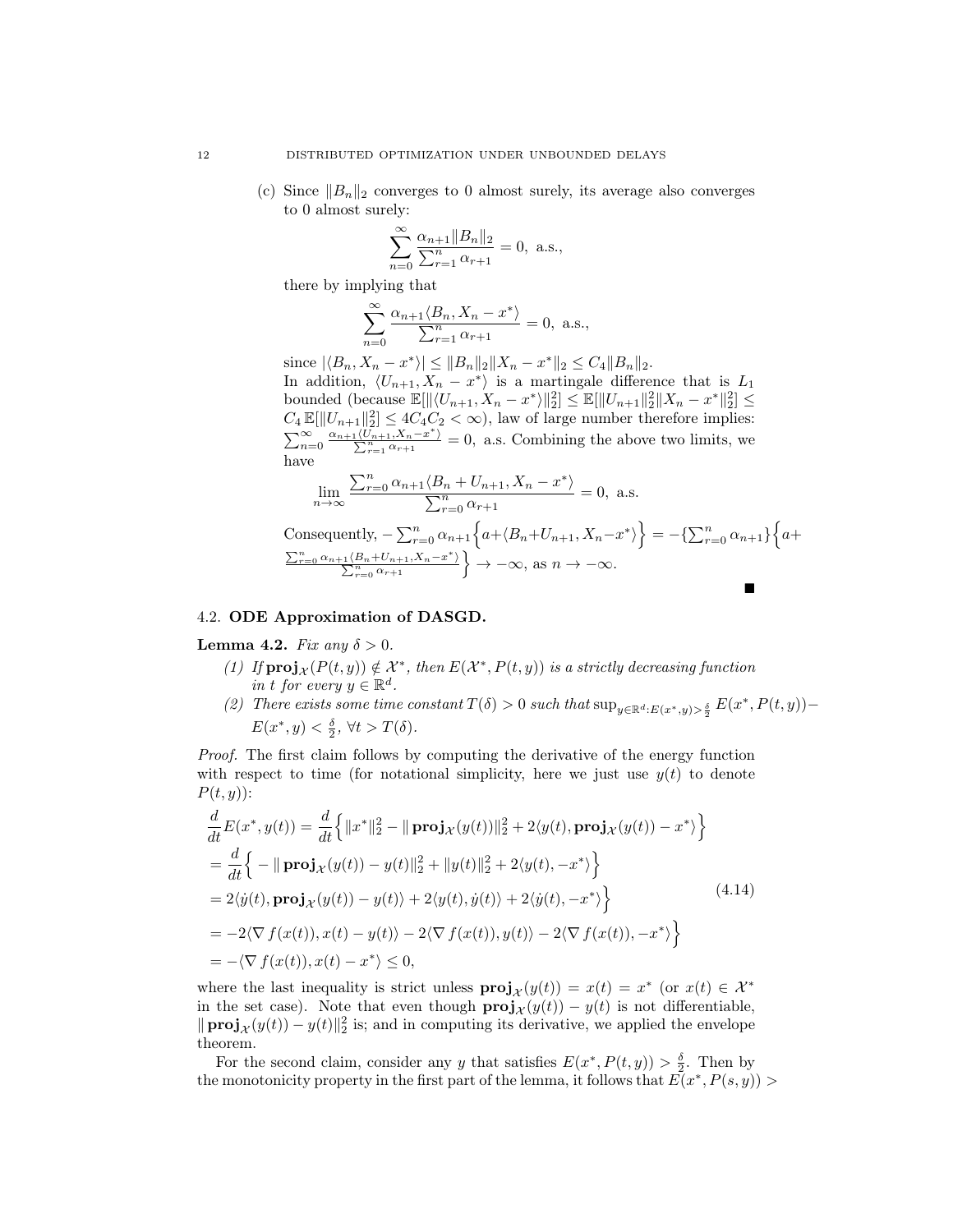(c) Since  $||B_n||_2$  converges to 0 almost surely, its average also converges to 0 almost surely:

$$
\sum_{n=0}^{\infty} \frac{\alpha_{n+1} \|B_n\|_2}{\sum_{r=1}^n \alpha_{r+1}} = 0, \text{ a.s.},
$$

there by implying that

$$
\sum_{n=0}^{\infty} \frac{\alpha_{n+1} \langle B_n, X_n - x^* \rangle}{\sum_{r=1}^{n} \alpha_{r+1}} = 0, \text{ a.s.},
$$

since  $|\langle B_n, X_n - x^* \rangle| \le ||B_n||_2 ||X_n - x^*||_2 \le C_4 ||B_n||_2$ . In addition,  $\langle U_{n+1}, X_n - x^* \rangle$  is a martingale difference that is  $L_1$ bounded (because  $\mathbb{E}[\|\langle U_{n+1}, X_n - x^* \rangle\|_2^2] \leq \mathbb{E}[\|U_{n+1}\|_2^2 \|X_n - x^*\|_2^2] \leq$  $C_4 \mathbb{E}[\|U_{n+1}\|_2^2] \leq 4C_4C_2 < \infty$ , law of large number therefore implies:  $\sum_{n=0}^{\infty} \frac{\alpha_{n+1} \langle U_{n+1}, X_n - x^* \rangle}{\sum_{r=1}^n \alpha_{r+1}}$  $\Sigma$  $\frac{\sum_{n+1}^{\infty} X_n - x^*}{n^2} = 0$ , a.s. Combining the above two limits, we have

$$
\lim_{n \to \infty} \frac{\sum_{r=0}^{n} \alpha_{n+1} \langle B_n + U_{n+1}, X_n - x^* \rangle}{\sum_{r=0}^{n} \alpha_{r+1}} = 0, \text{ a.s.}
$$
\n
$$
\text{Consequently, } -\sum_{r=0}^{n} \alpha_{n+1} \left\{ a + \langle B_n + U_{n+1}, X_n - x^* \rangle \right\} = -\left\{ \sum_{r=0}^{n} \alpha_{n+1} \right\} \left\{ a + \frac{\sum_{r=0}^{n} \alpha_{n+1} \langle B_n + U_{n+1}, X_n - x^* \rangle}{\sum_{r=0}^{n} \alpha_{r+1}} \right\} \to -\infty, \text{ as } n \to -\infty.
$$

# 4.2. ODE Approximation of DASGD.

<span id="page-11-0"></span>Lemma 4.2. Fix any  $\delta > 0$ .

- (1) If  $\text{proj}_{\mathcal{X}}(P(t, y)) \notin \mathcal{X}^*$ , then  $E(\mathcal{X}^*, P(t, y))$  is a strictly decreasing function in t for every  $y \in \mathbb{R}^d$ .
- (2) There exists some time constant  $T(\delta) > 0$  such that  $\sup_{y \in \mathbb{R}^d : E(x^*, y) > \frac{\delta}{2}} E(x^*, P(t, y))$  $E(x^*, y) < \frac{\delta}{2}$ ,  $\forall t > T(\delta)$ .

Proof. The first claim follows by computing the derivative of the energy function with respect to time (for notational simplicity, here we just use  $y(t)$  to denote  $P(t, y)$ :

$$
\frac{d}{dt}E(x^*, y(t)) = \frac{d}{dt}\Big\{\|x^*\|^2 - \|\mathbf{proj}_X(y(t))\|^2 + 2\langle y(t), \mathbf{proj}_X(y(t)) - x^*\rangle\Big\}
$$
\n
$$
= \frac{d}{dt}\Big\{-\|\mathbf{proj}_X(y(t)) - y(t)\|^2 + \|y(t)\|^2 + 2\langle y(t), -x^*\rangle\Big\}
$$
\n
$$
= 2\langle \dot{y}(t), \mathbf{proj}_X(y(t)) - y(t)\rangle + 2\langle y(t), \dot{y}(t)\rangle + 2\langle \dot{y}(t), -x^*\rangle\Big\}
$$
\n
$$
= -2\langle \nabla f(x(t)), x(t) - y(t)\rangle - 2\langle \nabla f(x(t)), y(t)\rangle - 2\langle \nabla f(x(t)), -x^*\rangle\Big\}
$$
\n
$$
= -\langle \nabla f(x(t)), x(t) - x^*\rangle \le 0,
$$
\n
$$
(4.14)
$$

where the last inequality is strict unless  $proj_{\mathcal{X}}(y(t)) = x(t) = x^*$  (or  $x(t) \in \mathcal{X}^*$ in the set case). Note that even though  $\mathbf{proj}_{\mathcal{X}}(y(t)) - y(t)$  is not differentiable,  $\|\operatorname{proj}_{\mathcal{X}}(y(t)) - y(t)\|_2^2$  is; and in computing its derivative, we applied the envelope theorem.

For the second claim, consider any y that satisfies  $E(x^*, P(t,y)) > \frac{\delta}{2}$ . Then by the monotonicity property in the first part of the lemma, it follows that  $\overline{E}(x^*, P(s,y)) >$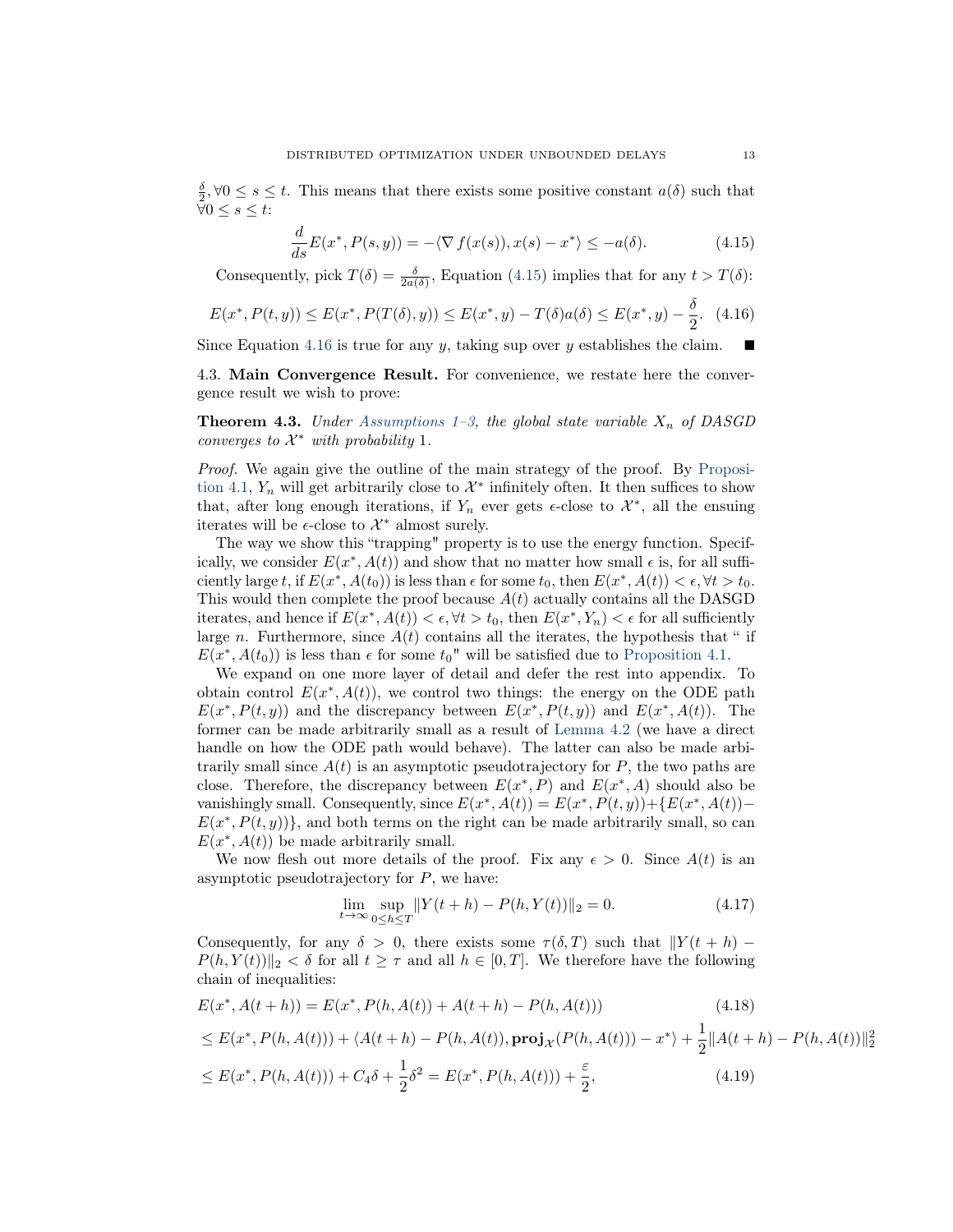$\frac{\delta}{2}$ ,  $\forall 0 \leq s \leq t$ . This means that there exists some positive constant  $a(\delta)$  such that  $\forall 0 \leq s \leq t$ :

<span id="page-12-0"></span>
$$
\frac{d}{ds}E(x^*, P(s,y)) = -\langle \nabla f(x(s)), x(s) - x^* \rangle \le -a(\delta). \tag{4.15}
$$

Consequently, pick  $T(\delta) = \frac{\delta}{2a(\delta)}$ , Equation [\(4.15\)](#page-12-0) implies that for any  $t > T(\delta)$ :

<span id="page-12-1"></span>
$$
E(x^*, P(t, y)) \le E(x^*, P(T(\delta), y)) \le E(x^*, y) - T(\delta)a(\delta) \le E(x^*, y) - \frac{\delta}{2}.
$$
 (4.16)

Since Equation [4.16](#page-12-1) is true for any y, taking sup over y establishes the claim.

4.3. Main Convergence Result. For convenience, we restate here the convergence result we wish to prove:

**Theorem 4.3.** Under [Assumptions 1–](#page-0-3)[3,](#page-0-4) the global state variable  $X_n$  of DASGD converges to  $\mathcal{X}^*$  with probability 1.

Proof. We again give the outline of the main strategy of the proof. By [Proposi](#page-6-1)[tion 4.1,](#page-6-1)  $Y_n$  will get arbitrarily close to  $\mathcal{X}^*$  infinitely often. It then suffices to show that, after long enough iterations, if  $Y_n$  ever gets  $\epsilon$ -close to  $\mathcal{X}^*$ , all the ensuing iterates will be  $\epsilon$ -close to  $\mathcal{X}^*$  almost surely.

The way we show this "trapping" property is to use the energy function. Specifically, we consider  $E(x^*, A(t))$  and show that no matter how small  $\epsilon$  is, for all sufficiently large t, if  $E(x^*, A(t_0))$  is less than  $\epsilon$  for some  $t_0$ , then  $E(x^*, A(t)) < \epsilon, \forall t > t_0$ . This would then complete the proof because  $A(t)$  actually contains all the DASGD iterates, and hence if  $E(x^*, A(t)) < \epsilon, \forall t > t_0$ , then  $E(x^*, Y_n) < \epsilon$  for all sufficiently large n. Furthermore, since  $A(t)$  contains all the iterates, the hypothesis that " if  $E(x^*, A(t_0))$  is less than  $\epsilon$  for some  $t_0$ " will be satisfied due to [Proposition 4.1.](#page-6-1)

We expand on one more layer of detail and defer the rest into appendix. To obtain control  $E(x^*, A(t))$ , we control two things: the energy on the ODE path  $E(x^*, P(t, y))$  and the discrepancy between  $E(x^*, P(t, y))$  and  $E(x^*, A(t))$ . The former can be made arbitrarily small as a result of [Lemma 4.2](#page-11-0) (we have a direct handle on how the ODE path would behave). The latter can also be made arbitrarily small since  $A(t)$  is an asymptotic pseudotrajectory for P, the two paths are close. Therefore, the discrepancy between  $E(x^*, P)$  and  $E(x^*, A)$  should also be vanishingly small. Consequently, since  $E(x^*, A(t)) = E(x^*, P(t, y)) + \{E(x^*, A(t)) E(x^*, P(t, y))$ , and both terms on the right can be made arbitrarily small, so can  $E(x^*, A(t))$  be made arbitrarily small.

We now flesh out more details of the proof. Fix any  $\epsilon > 0$ . Since  $A(t)$  is an asymptotic pseudotrajectory for  $P$ , we have:

$$
\lim_{t \to \infty} \sup_{0 \le h \le T} ||Y(t+h) - P(h, Y(t))||_2 = 0.
$$
\n(4.17)

Consequently, for any  $\delta > 0$ , there exists some  $\tau(\delta, T)$  such that  $||Y(t + h) P(h, Y(t))\|_{2} < \delta$  for all  $t \geq \tau$  and all  $h \in [0, T]$ . We therefore have the following chain of inequalities:

 $-$  ∗ ∗  $-$  ∗

$$
E(x^*, A(t+h)) = E(x^*, P(h, A(t)) + A(t+h) - P(h, A(t))) \qquad (4.18)
$$
  
\n
$$
\leq E(x^*, P(h, A(t))) + \langle A(t+h) - P(h, A(t)), \mathbf{proj}_{\mathcal{X}}(P(h, A(t))) - x^* \rangle + \frac{1}{2} ||A(t+h) - P(h, A(t))||_2^2
$$
  
\n
$$
\leq E(x^*, P(h, A(t))) + C_4 \delta + \frac{1}{2} \delta^2 = E(x^*, P(h, A(t))) + \frac{\varepsilon}{2}, \qquad (4.19)
$$